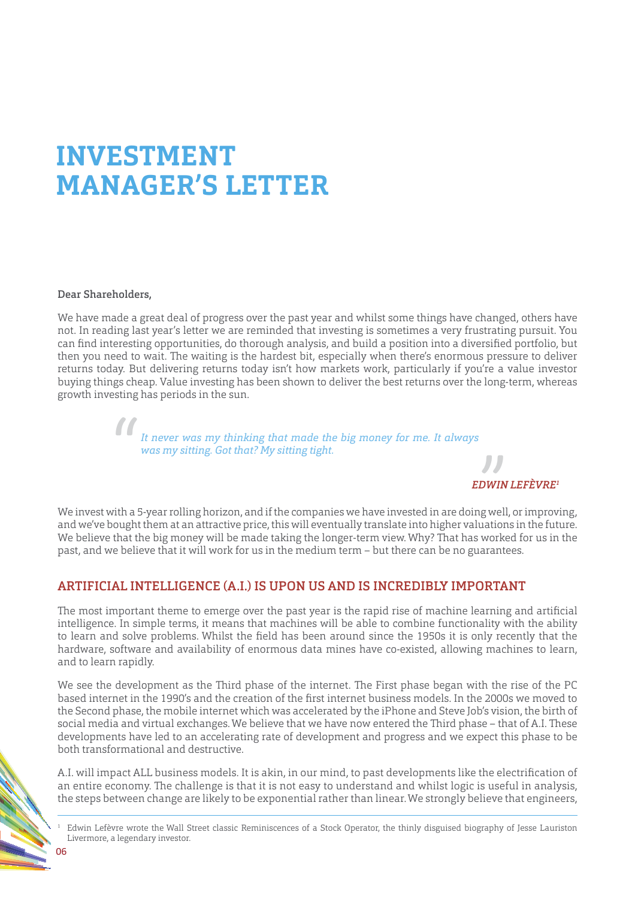# **INVESTMENT MANAGER'S LETTER**

Dear Shareholders,

We have made a great deal of progress over the past year and whilst some things have changed, others have not. In reading last year's letter we are reminded that investing is sometimes a very frustrating pursuit. You can find interesting opportunities, do thorough analysis, and build a position into a diversified portfolio, but then you need to wait. The waiting is the hardest bit, especially when there's enormous pressure to deliver returns today. But delivering returns today isn't how markets work, particularly if you're a value investor buying things cheap. Value investing has been shown to deliver the best returns over the long-term, whereas growth investing has periods in the sun.

> *It never was my thinking that made the big money for me. It always was my sitting. Got that? My sitting tight.* "



We invest with a 5-year rolling horizon, and if the companies we have invested in are doing well, or improving, and we've bought them at an attractive price, this will eventually translate into higher valuations in the future. We believe that the big money will be made taking the longer-term view. Why? That has worked for us in the past, and we believe that it will work for us in the medium term – but there can be no guarantees.

# ARTIFICIAL INTELLIGENCE (A.I.) IS UPON US AND IS INCREDIBLY IMPORTANT

The most important theme to emerge over the past year is the rapid rise of machine learning and artificial intelligence. In simple terms, it means that machines will be able to combine functionality with the ability to learn and solve problems. Whilst the field has been around since the 1950s it is only recently that the hardware, software and availability of enormous data mines have co-existed, allowing machines to learn, and to learn rapidly.

We see the development as the Third phase of the internet. The First phase began with the rise of the PC based internet in the 1990's and the creation of the first internet business models. In the 2000s we moved to the Second phase, the mobile internet which was accelerated by the iPhone and Steve Job's vision, the birth of social media and virtual exchanges. We believe that we have now entered the Third phase – that of A.I. These developments have led to an accelerating rate of development and progress and we expect this phase to be both transformational and destructive.

A.I. will impact ALL business models. It is akin, in our mind, to past developments like the electrification of an entire economy. The challenge is that it is not easy to understand and whilst logic is useful in analysis, the steps between change are likely to be exponential rather than linear. We strongly believe that engineers,

<sup>1</sup> Edwin Lefèvre wrote the Wall Street classic Reminiscences of a Stock Operator, the thinly disguised biography of Jesse Lauriston Livermore, a legendary investor.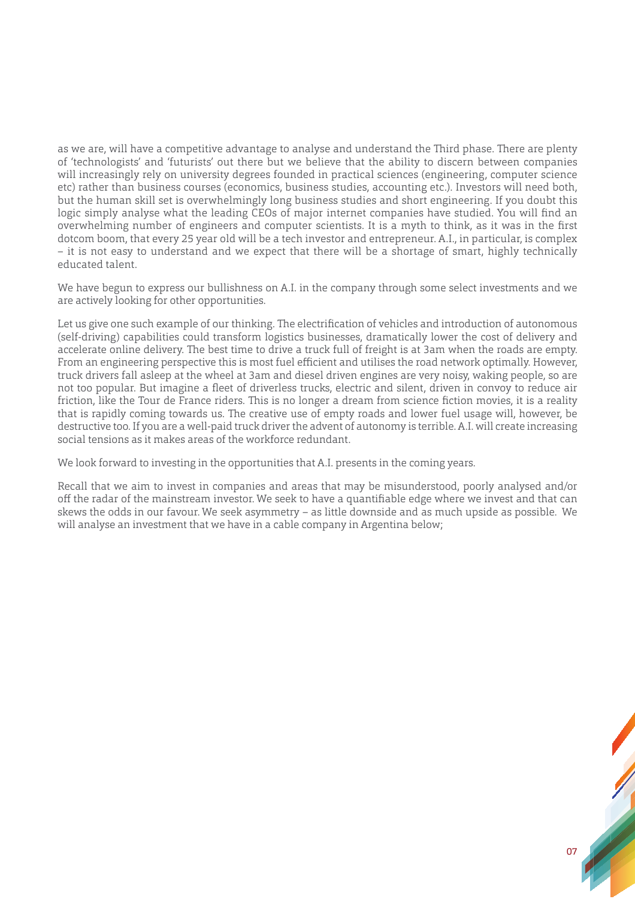as we are, will have a competitive advantage to analyse and understand the Third phase. There are plenty of 'technologists' and 'futurists' out there but we believe that the ability to discern between companies will increasingly rely on university degrees founded in practical sciences (engineering, computer science etc) rather than business courses (economics, business studies, accounting etc.). Investors will need both, but the human skill set is overwhelmingly long business studies and short engineering. If you doubt this logic simply analyse what the leading CEOs of major internet companies have studied. You will find an overwhelming number of engineers and computer scientists. It is a myth to think, as it was in the first dotcom boom, that every 25 year old will be a tech investor and entrepreneur. A.I., in particular, is complex – it is not easy to understand and we expect that there will be a shortage of smart, highly technically educated talent.

We have begun to express our bullishness on A.I. in the company through some select investments and we are actively looking for other opportunities.

Let us give one such example of our thinking. The electrification of vehicles and introduction of autonomous (self-driving) capabilities could transform logistics businesses, dramatically lower the cost of delivery and accelerate online delivery. The best time to drive a truck full of freight is at 3am when the roads are empty. From an engineering perspective this is most fuel efficient and utilises the road network optimally. However, truck drivers fall asleep at the wheel at 3am and diesel driven engines are very noisy, waking people, so are not too popular. But imagine a fleet of driverless trucks, electric and silent, driven in convoy to reduce air friction, like the Tour de France riders. This is no longer a dream from science fiction movies, it is a reality that is rapidly coming towards us. The creative use of empty roads and lower fuel usage will, however, be destructive too. If you are a well-paid truck driver the advent of autonomy is terrible. A.I. will create increasing social tensions as it makes areas of the workforce redundant.

We look forward to investing in the opportunities that A.I. presents in the coming years.

Recall that we aim to invest in companies and areas that may be misunderstood, poorly analysed and/or off the radar of the mainstream investor. We seek to have a quantifiable edge where we invest and that can skews the odds in our favour. We seek asymmetry – as little downside and as much upside as possible. We will analyse an investment that we have in a cable company in Argentina below;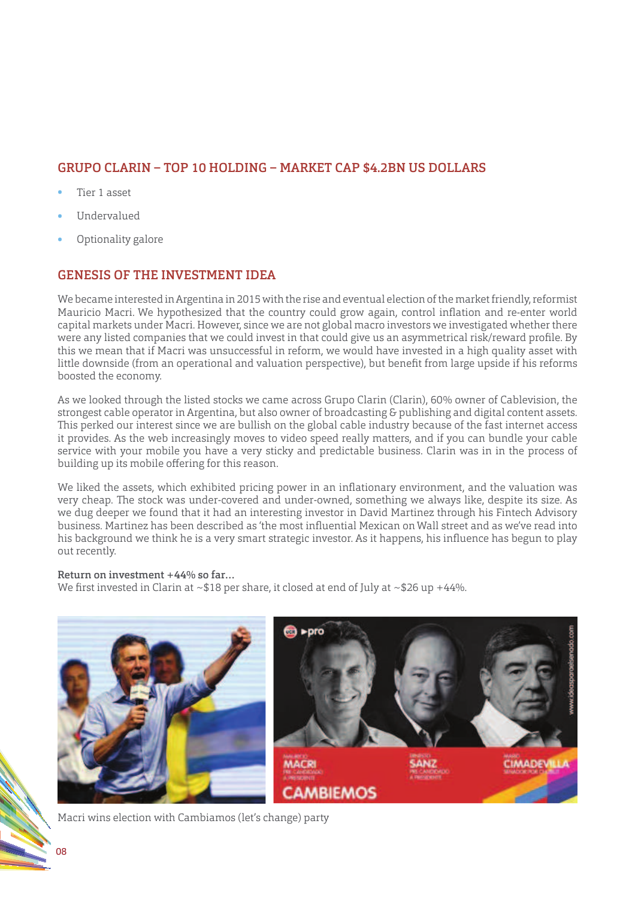# GRUPO CLARIN – TOP 10 HOLDING – MARKET CAP \$4.2BN US DOLLARS

- Tier 1 asset
- Undervalued
- Optionality galore

## GENESIS OF THE INVESTMENT IDEA

We became interested in Argentina in 2015 with the rise and eventual election of the market friendly, reformist Mauricio Macri. We hypothesized that the country could grow again, control inflation and re-enter world capital markets under Macri. However, since we are not global macro investors we investigated whether there were any listed companies that we could invest in that could give us an asymmetrical risk/reward profile. By this we mean that if Macri was unsuccessful in reform, we would have invested in a high quality asset with little downside (from an operational and valuation perspective), but benefit from large upside if his reforms boosted the economy.

As we looked through the listed stocks we came across Grupo Clarin (Clarin), 60% owner of Cablevision, the strongest cable operator in Argentina, but also owner of broadcasting & publishing and digital content assets. This perked our interest since we are bullish on the global cable industry because of the fast internet access it provides. As the web increasingly moves to video speed really matters, and if you can bundle your cable service with your mobile you have a very sticky and predictable business. Clarin was in in the process of building up its mobile offering for this reason.

We liked the assets, which exhibited pricing power in an inflationary environment, and the valuation was very cheap. The stock was under-covered and under-owned, something we always like, despite its size. As we dug deeper we found that it had an interesting investor in David Martinez through his Fintech Advisory business. Martinez has been described as 'the most influential Mexican on Wall street and as we've read into his background we think he is a very smart strategic investor. As it happens, his influence has begun to play out recently.

#### Return on investment +44% so far…

We first invested in Clarin at  $\sim$ \$18 per share, it closed at end of July at  $\sim$ \$26 up +44%.



Macri wins election with Cambiamos (let's change) party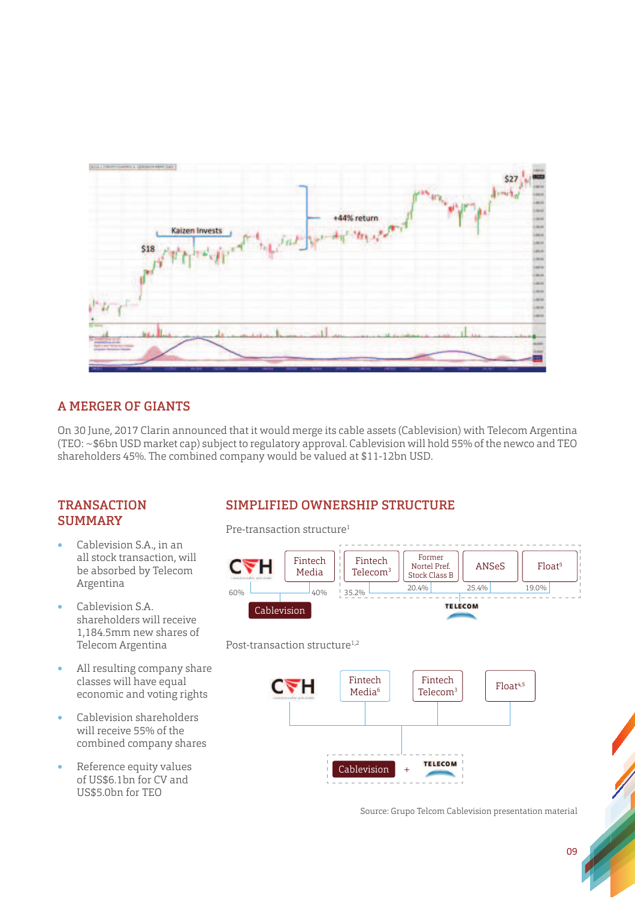

# A MERGER OF GIANTS

On 30 June, 2017 Clarin announced that it would merge its cable assets (Cablevision) with Telecom Argentina (TEO: ~\$6bn USD market cap) subject to regulatory approval. Cablevision will hold 55% of the newco and TEO shareholders 45%. The combined company would be valued at \$11-12bn USD.

#### **TRANSACTION SUMMARY**

- Cablevision S.A., in an all stock transaction, will be absorbed by Telecom Argentina
- Cablevision S.A. shareholders will receive 1,184.5mm new shares of Telecom Argentina
- All resulting company share classes will have equal economic and voting rights
- Cablevision shareholders will receive 55% of the combined company shares
- Reference equity values of US\$6.1bn for CV and US\$5.0bn for TEO

# SIMPLIFIED OWNERSHIP STRUCTURE

Pre-transaction structure<sup>1</sup>



#### Post-transaction structure<sup>1,2</sup>



Source: Grupo Telcom Cablevision presentation material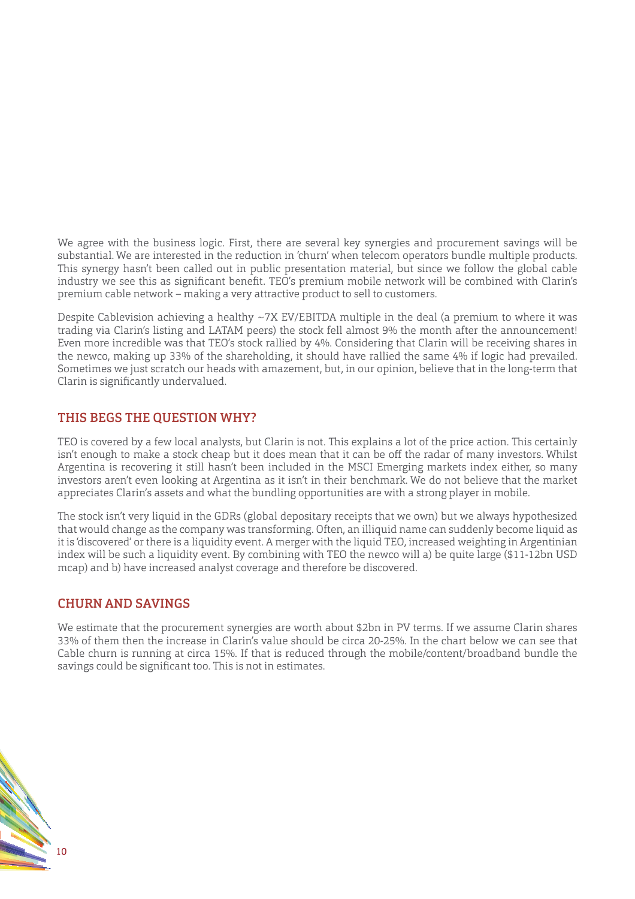We agree with the business logic. First, there are several key synergies and procurement savings will be substantial. We are interested in the reduction in 'churn' when telecom operators bundle multiple products. This synergy hasn't been called out in public presentation material, but since we follow the global cable industry we see this as significant benefit. TEO's premium mobile network will be combined with Clarin's premium cable network – making a very attractive product to sell to customers.

Despite Cablevision achieving a healthy ~7X EV/EBITDA multiple in the deal (a premium to where it was trading via Clarin's listing and LATAM peers) the stock fell almost 9% the month after the announcement! Even more incredible was that TEO's stock rallied by 4%. Considering that Clarin will be receiving shares in the newco, making up 33% of the shareholding, it should have rallied the same 4% if logic had prevailed. Sometimes we just scratch our heads with amazement, but, in our opinion, believe that in the long-term that Clarin is significantly undervalued.

## THIS BEGS THE QUESTION WHY?

TEO is covered by a few local analysts, but Clarin is not. This explains a lot of the price action. This certainly isn't enough to make a stock cheap but it does mean that it can be off the radar of many investors. Whilst Argentina is recovering it still hasn't been included in the MSCI Emerging markets index either, so many investors aren't even looking at Argentina as it isn't in their benchmark. We do not believe that the market appreciates Clarin's assets and what the bundling opportunities are with a strong player in mobile.

The stock isn't very liquid in the GDRs (global depositary receipts that we own) but we always hypothesized that would change as the company was transforming. Often, an illiquid name can suddenly become liquid as it is 'discovered' or there is a liquidity event. A merger with the liquid TEO, increased weighting in Argentinian index will be such a liquidity event. By combining with TEO the newco will a) be quite large (\$11-12bn USD mcap) and b) have increased analyst coverage and therefore be discovered.

## CHURN AND SAVINGS

We estimate that the procurement synergies are worth about \$2bn in PV terms. If we assume Clarin shares 33% of them then the increase in Clarin's value should be circa 20-25%. In the chart below we can see that Cable churn is running at circa 15%. If that is reduced through the mobile/content/broadband bundle the savings could be significant too. This is not in estimates.

10